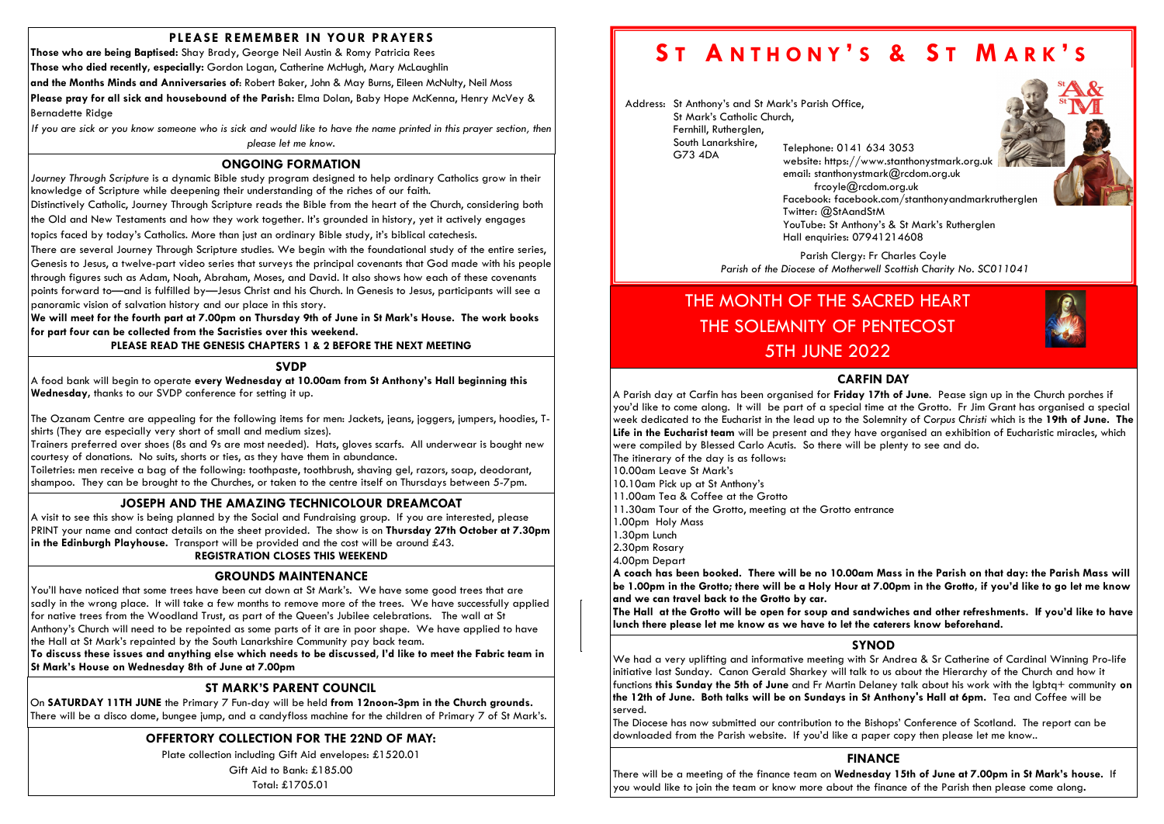# PLEASE REMEMBER IN YOUR PRAYERS

Those who are being Baptised: Shay Brady, George Neil Austin & Romy Patricia Rees

Those who died recently, especially: Gordon Logan, Catherine McHugh, Mary McLaughlin

and the Months Minds and Anniversaries of: Robert Baker, John & May Burns, Eileen McNulty, Neil Moss

Please pray for all sick and housebound of the Parish: Elma Dolan, Baby Hope McKenna, Henry McVey & Bernadette Ridge

If you are sick or you know someone who is sick and would like to have the name printed in this prayer section, then please let me know.

# OFFERTORY COLLECTION FOR THE 22ND OF MAY:

Plate collection including Gift Aid envelopes: £1520.01

Gift Aid to Bank: £185.00

Total: £1705.01

### ONGOING FORMATION

Journey Through Scripture is a dynamic Bible study program designed to help ordinary Catholics grow in their knowledge of Scripture while deepening their understanding of the riches of our faith.

Distinctively Catholic, Journey Through Scripture reads the Bible from the heart of the Church, considering both

the Old and New Testaments and how they work together. It's grounded in history, yet it actively engages

A visit to see this show is being planned by the Social and Fundraising group. If you are interested, please PRINT your name and contact details on the sheet provided. The show is on Thursday 27th October at 7.30pm in the Edinburgh Playhouse. Transport will be provided and the cost will be around £43.

topics faced by today's Catholics. More than just an ordinary Bible study, it's biblical catechesis.

A food bank will begin to operate every Wednesday at 10.00am from St Anthony's Hall beginning this Wednesday, thanks to our SVDP conference for setting it up.

There are several Journey Through Scripture studies. We begin with the foundational study of the entire series, Genesis to Jesus, a twelve-part video series that surveys the principal covenants that God made with his people through figures such as Adam, Noah, Abraham, Moses, and David. It also shows how each of these covenants points forward to—and is fulfilled by—Jesus Christ and his Church. In Genesis to Jesus, participants will see a panoramic vision of salvation history and our place in this story.

We will meet for the fourth part at 7.00pm on Thursday 9th of June in St Mark's House. The work books for part four can be collected from the Sacristies over this weekend.

PLEASE READ THE GENESIS CHAPTERS 1 & 2 BEFORE THE NEXT MEETING

#### **SVDP**

# ST MARK'S PARENT COUNCIL

On SATURDAY 11TH JUNE the Primary 7 Fun-day will be held from 12noon-3pm in the Church grounds. There will be a disco dome, bungee jump, and a candyfloss machine for the children of Primary 7 of St Mark's.

Parish Clergy: Fr Charles Coyle Parish of the Diocese of Motherwell Scottish Charity No. SC011041

## JOSEPH AND THE AMAZING TECHNICOLOUR DREAMCOAT

# REGISTRATION CLOSES THIS WEEKEND

The Ozanam Centre are appealing for the following items for men: Jackets, jeans, joggers, jumpers, hoodies, Tshirts (They are especially very short of small and medium sizes).

Trainers preferred over shoes (8s and 9s are most needed). Hats, gloves scarfs. All underwear is bought new courtesy of donations. No suits, shorts or ties, as they have them in abundance.

Toiletries: men receive a bag of the following: toothpaste, toothbrush, shaving gel, razors, soap, deodorant, shampoo. They can be brought to the Churches, or taken to the centre itself on Thursdays between 5-7pm.

> $\vert$  lunch there please let me know as we have to let the caterers know beforehand. The Hall at the Grotto will be open for soup and sandwiches and other refreshments. If you'd like to have

Anthony's.

#### GROUNDS MAINTENANCE

You'll have noticed that some trees have been cut down at St Mark's. We have some good trees that are sadly in the wrong place. It will take a few months to remove more of the trees. We have successfully applied for native trees from the Woodland Trust, as part of the Queen's Jubilee celebrations. The wall at St Anthony's Church will need to be repointed as some parts of it are in poor shape. We have applied to have the Hall at St Mark's repainted by the South Lanarkshire Community pay back team.

To discuss these issues and anything else which needs to be discussed, I'd like to meet the Fabric team in St Mark's House on Wednesday 8th of June at 7.00pm

Address: St Anthony's and St Mark's Parish Office, St Mark's Catholic Church, Fernhill, Rutherglen, South Lanarkshire, G73 4DA Telephone: 0141 634 3053



email: stanthonystmark@rcdom.org.uk frcoyle@rcdom.org.uk Twitter: @StAandStM Hall enquiries: 07941214608

# SYNOD

We had a very uplifting and informative meeting with Sr Andrea & Sr Catherine of Cardinal Winning Pro-life initiative last Sunday. Canon Gerald Sharkey will talk to us about the Hierarchy of the Church and how it functions this Sunday the 5th of June and Fr Martin Delaney talk about his work with the lgbtq+ community on the 12th of June. Both talks will be on Sundays in St Anthony's Hall at 6pm. Tea and Coffee will be served.

The Diocese has now submitted our contribution to the Bishops' Conference of Scotland. The report can be downloaded from the Parish website. If you'd like a paper copy then please let me know..

# THE MONTH OF THE SACRED HEART THE SOLEMNITY OF PENTECOST 5TH JUNE 2022

# FINANCE

There will be a meeting of the finance team on Wednesday 15th of June at 7.00pm in St Mark's house. If you would like to join the team or know more about the finance of the Parish then please come along.

#### CARFIN DAY

A Parish day at Carfin has been organised for Friday 17th of June. Pease sign up in the Church porches if you'd like to come along. It will be part of a special time at the Grotto. Fr Jim Grant has organised a special week dedicated to the Eucharist in the lead up to the Solemnity of Corpus Christi which is the 19th of June. The Life in the Eucharist team will be present and they have organised an exhibition of Eucharistic miracles, which were compiled by Blessed Carlo Acutis. So there will be plenty to see and do. The itinerary of the day is as follows:

10.00am Leave St Mark's

- 10.10am Pick up at St Anthony's
- 11.00am Tea & Coffee at the Grotto
- 11.30am Tour of the Grotto, meeting at the Grotto entrance 1.00pm Holy Mass
- 1.30pm Lunch
- 2.30pm Rosary

4.00pm Depart

A coach has been booked. There will be no 10.00am Mass in the Parish on that day: the Parish Mass will be 1.00pm in the Grotto; there will be a Holy Hour at 7.00pm in the Grotto, if you'd like to go let me know and we can travel back to the Grotto by car.